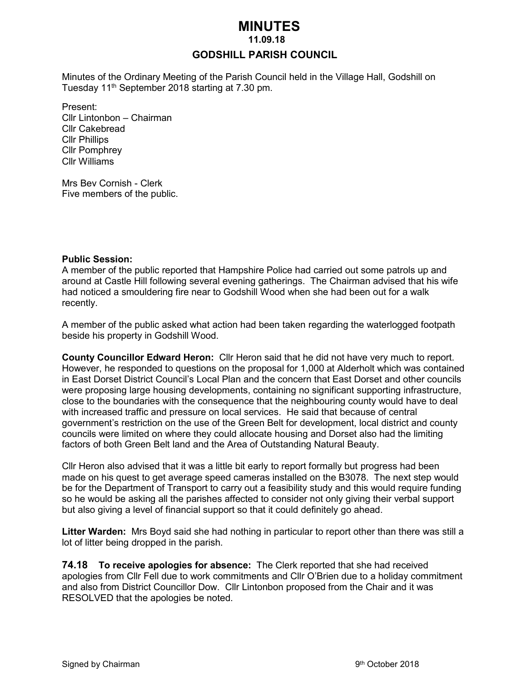# *MINUTES*

 **11.09.18**

## **GODSHILL PARISH COUNCIL**

Minutes of the Ordinary Meeting of the Parish Council held in the Village Hall, Godshill on Tuesday 11th September 2018 starting at 7.30 pm.

Present: Cllr Lintonbon – Chairman Cllr Cakebread Cllr Phillips Cllr Pomphrey Cllr Williams

Mrs Bev Cornish - Clerk Five members of the public.

#### **Public Session:**

A member of the public reported that Hampshire Police had carried out some patrols up and around at Castle Hill following several evening gatherings. The Chairman advised that his wife had noticed a smouldering fire near to Godshill Wood when she had been out for a walk recently.

A member of the public asked what action had been taken regarding the waterlogged footpath beside his property in Godshill Wood.

**County Councillor Edward Heron:** Cllr Heron said that he did not have very much to report. However, he responded to questions on the proposal for 1,000 at Alderholt which was contained in East Dorset District Council's Local Plan and the concern that East Dorset and other councils were proposing large housing developments, containing no significant supporting infrastructure, close to the boundaries with the consequence that the neighbouring county would have to deal with increased traffic and pressure on local services. He said that because of central government's restriction on the use of the Green Belt for development, local district and county councils were limited on where they could allocate housing and Dorset also had the limiting factors of both Green Belt land and the Area of Outstanding Natural Beauty.

Cllr Heron also advised that it was a little bit early to report formally but progress had been made on his quest to get average speed cameras installed on the B3078. The next step would be for the Department of Transport to carry out a feasibility study and this would require funding so he would be asking all the parishes affected to consider not only giving their verbal support but also giving a level of financial support so that it could definitely go ahead.

**Litter Warden:** Mrs Boyd said she had nothing in particular to report other than there was still a lot of litter being dropped in the parish.

**74.18 To receive apologies for absence:** The Clerk reported that she had received apologies from Cllr Fell due to work commitments and Cllr O'Brien due to a holiday commitment and also from District Councillor Dow. Cllr Lintonbon proposed from the Chair and it was RESOLVED that the apologies be noted.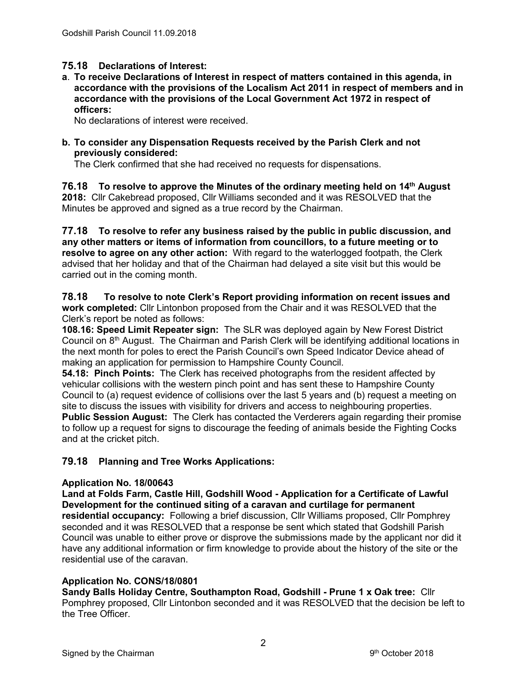# **75.18 Declarations of Interest:**

**a**. **To receive Declarations of Interest in respect of matters contained in this agenda, in accordance with the provisions of the Localism Act 2011 in respect of members and in accordance with the provisions of the Local Government Act 1972 in respect of officers:**

No declarations of interest were received.

**b. To consider any Dispensation Requests received by the Parish Clerk and not previously considered:** 

The Clerk confirmed that she had received no requests for dispensations.

**76.18 To resolve to approve the Minutes of the ordinary meeting held on 14th August 2018:** Cllr Cakebread proposed, Cllr Williams seconded and it was RESOLVED that the Minutes be approved and signed as a true record by the Chairman.

**77.18 To resolve to refer any business raised by the public in public discussion, and any other matters or items of information from councillors, to a future meeting or to resolve to agree on any other action:** With regard to the waterlogged footpath, the Clerk advised that her holiday and that of the Chairman had delayed a site visit but this would be carried out in the coming month.

#### **78.18 To resolve to note Clerk's Report providing information on recent issues and work completed:** Cllr Lintonbon proposed from the Chair and it was RESOLVED that the Clerk's report be noted as follows:

**108.16: Speed Limit Repeater sign:** The SLR was deployed again by New Forest District Council on 8th August. The Chairman and Parish Clerk will be identifying additional locations in the next month for poles to erect the Parish Council's own Speed Indicator Device ahead of making an application for permission to Hampshire County Council.

**54.18: Pinch Points:** The Clerk has received photographs from the resident affected by vehicular collisions with the western pinch point and has sent these to Hampshire County Council to (a) request evidence of collisions over the last 5 years and (b) request a meeting on site to discuss the issues with visibility for drivers and access to neighbouring properties. **Public Session August:** The Clerk has contacted the Verderers again regarding their promise to follow up a request for signs to discourage the feeding of animals beside the Fighting Cocks

and at the cricket pitch.

# **79.18 Planning and Tree Works Applications:**

# **Application No. 18/00643**

**Land at Folds Farm, Castle Hill, Godshill Wood - Application for a Certificate of Lawful Development for the continued siting of a caravan and curtilage for permanent residential occupancy:** Following a brief discussion, Cllr Williams proposed, Cllr Pomphrey seconded and it was RESOLVED that a response be sent which stated that Godshill Parish Council was unable to either prove or disprove the submissions made by the applicant nor did it have any additional information or firm knowledge to provide about the history of the site or the residential use of the caravan.

# **Application No. CONS/18/0801**

**Sandy Balls Holiday Centre, Southampton Road, Godshill - Prune 1 x Oak tree:** Cllr Pomphrey proposed, Cllr Lintonbon seconded and it was RESOLVED that the decision be left to the Tree Officer.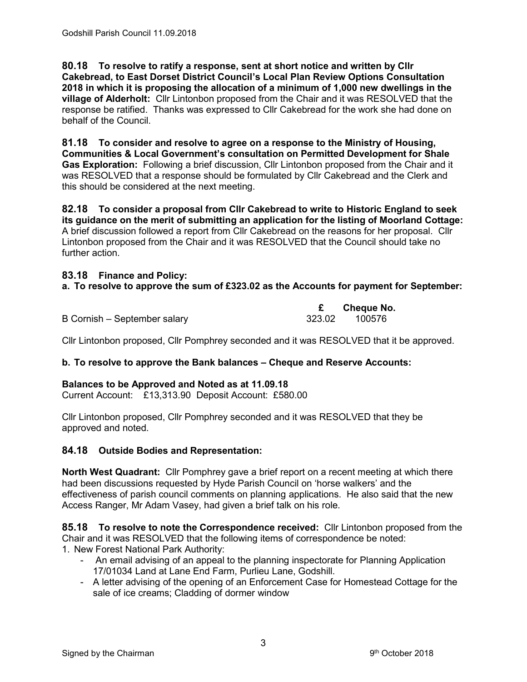**80.18 To resolve to ratify a response, sent at short notice and written by Cllr Cakebread, to East Dorset District Council's Local Plan Review Options Consultation 2018 in which it is proposing the allocation of a minimum of 1,000 new dwellings in the village of Alderholt:** Cllr Lintonbon proposed from the Chair and it was RESOLVED that the response be ratified. Thanks was expressed to Cllr Cakebread for the work she had done on behalf of the Council.

**81.18 To consider and resolve to agree on a response to the Ministry of Housing, Communities & Local Government's consultation on Permitted Development for Shale Gas Exploration:** Following a brief discussion, Cllr Lintonbon proposed from the Chair and it was RESOLVED that a response should be formulated by Cllr Cakebread and the Clerk and this should be considered at the next meeting.

**82.18 To consider a proposal from Cllr Cakebread to write to Historic England to seek its guidance on the merit of submitting an application for the listing of Moorland Cottage:**  A brief discussion followed a report from Cllr Cakebread on the reasons for her proposal. Cllr Lintonbon proposed from the Chair and it was RESOLVED that the Council should take no further action.

### **83.18 Finance and Policy:**

### **a. To resolve to approve the sum of £323.02 as the Accounts for payment for September:**

|                              | Cheque No.    |  |
|------------------------------|---------------|--|
| B Cornish – September salary | 323.02 100576 |  |

Cllr Lintonbon proposed, Cllr Pomphrey seconded and it was RESOLVED that it be approved.

#### **b. To resolve to approve the Bank balances – Cheque and Reserve Accounts:**

#### **Balances to be Approved and Noted as at 11.09.18**

Current Account: £13,313.90 Deposit Account: £580.00

Cllr Lintonbon proposed, Cllr Pomphrey seconded and it was RESOLVED that they be approved and noted.

#### **84.18 Outside Bodies and Representation:**

**North West Quadrant:** Cllr Pomphrey gave a brief report on a recent meeting at which there had been discussions requested by Hyde Parish Council on 'horse walkers' and the effectiveness of parish council comments on planning applications. He also said that the new Access Ranger, Mr Adam Vasey, had given a brief talk on his role.

**85.18 To resolve to note the Correspondence received:** Cllr Lintonbon proposed from the Chair and it was RESOLVED that the following items of correspondence be noted:

- 1. New Forest National Park Authority:
	- An email advising of an appeal to the planning inspectorate for Planning Application 17/01034 Land at Lane End Farm, Purlieu Lane, Godshill.
	- A letter advising of the opening of an Enforcement Case for Homestead Cottage for the sale of ice creams; Cladding of dormer window